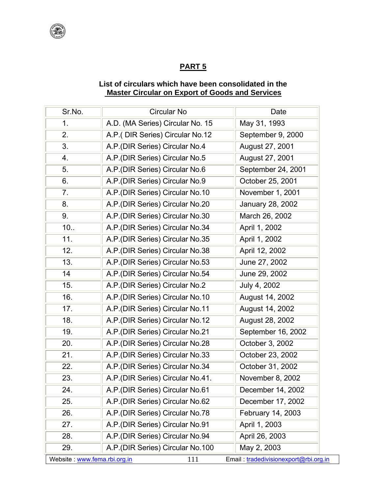

## **PART 5**

## **List of circulars which have been consolidated in the Master Circular on Export of Goods and Services**

| Sr.No. | <b>Circular No</b>                | Date               |
|--------|-----------------------------------|--------------------|
| 1.     | A.D. (MA Series) Circular No. 15  | May 31, 1993       |
| 2.     | A.P. (DIR Series) Circular No.12  | September 9, 2000  |
| 3.     | A.P. (DIR Series) Circular No.4   | August 27, 2001    |
| 4.     | A.P. (DIR Series) Circular No.5   | August 27, 2001    |
| 5.     | A.P. (DIR Series) Circular No.6   | September 24, 2001 |
| 6.     | A.P. (DIR Series) Circular No.9   | October 25, 2001   |
| 7.     | A.P. (DIR Series) Circular No.10  | November 1, 2001   |
| 8.     | A.P. (DIR Series) Circular No.20  | January 28, 2002   |
| 9.     | A.P. (DIR Series) Circular No.30  | March 26, 2002     |
| 10.    | A.P. (DIR Series) Circular No.34  | April 1, 2002      |
| 11.    | A.P. (DIR Series) Circular No.35  | April 1, 2002      |
| 12.    | A.P. (DIR Series) Circular No.38  | April 12, 2002     |
| 13.    | A.P. (DIR Series) Circular No.53  | June 27, 2002      |
| 14     | A.P. (DIR Series) Circular No.54  | June 29, 2002      |
| 15.    | A.P. (DIR Series) Circular No.2   | July 4, 2002       |
| 16.    | A.P. (DIR Series) Circular No.10  | August 14, 2002    |
| 17.    | A.P. (DIR Series) Circular No.11  | August 14, 2002    |
| 18.    | A.P.(DIR Series) Circular No.12   | August 28, 2002    |
| 19.    | A.P. (DIR Series) Circular No.21  | September 16, 2002 |
| 20.    | A.P. (DIR Series) Circular No.28  | October 3, 2002    |
| 21.    | A.P.(DIR Series) Circular No.33   | October 23, 2002   |
| 22.    | A.P. (DIR Series) Circular No.34  | October 31, 2002   |
| 23.    | A.P. (DIR Series) Circular No.41. | November 8, 2002   |
| 24.    | A.P. (DIR Series) Circular No.61  | December 14, 2002  |
| 25.    | A.P. (DIR Series) Circular No.62  | December 17, 2002  |
| 26.    | A.P. (DIR Series) Circular No.78  | February 14, 2003  |
| 27.    | A.P. (DIR Series) Circular No.91  | April 1, 2003      |
| 28.    | A.P. (DIR Series) Circular No.94  | April 26, 2003     |
| 29.    | A.P. (DIR Series) Circular No.100 | May 2, 2003        |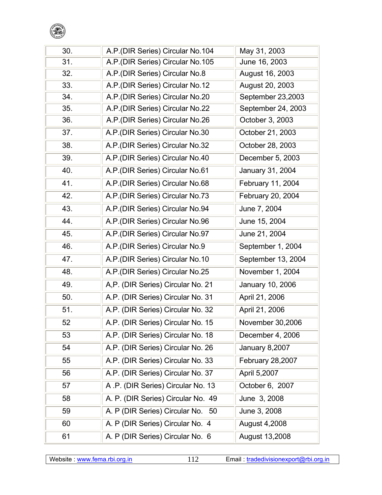

| 30. | A.P. (DIR Series) Circular No.104  | May 31, 2003            |
|-----|------------------------------------|-------------------------|
| 31. | A.P. (DIR Series) Circular No. 105 | June 16, 2003           |
| 32. | A.P. (DIR Series) Circular No.8    | August 16, 2003         |
| 33. | A.P. (DIR Series) Circular No.12   | August 20, 2003         |
| 34. | A.P. (DIR Series) Circular No.20   | September 23,2003       |
| 35. | A.P. (DIR Series) Circular No.22   | September 24, 2003      |
| 36. | A.P. (DIR Series) Circular No.26   | October 3, 2003         |
| 37. | A.P. (DIR Series) Circular No.30   | October 21, 2003        |
| 38. | A.P. (DIR Series) Circular No.32   | October 28, 2003        |
| 39. | A.P. (DIR Series) Circular No.40   | December 5, 2003        |
| 40. | A.P. (DIR Series) Circular No.61   | January 31, 2004        |
| 41. | A.P. (DIR Series) Circular No.68   | February 11, 2004       |
| 42. | A.P.(DIR Series) Circular No.73    | February 20, 2004       |
| 43. | A.P. (DIR Series) Circular No.94   | June 7, 2004            |
| 44. | A.P. (DIR Series) Circular No.96   | June 15, 2004           |
| 45. | A.P. (DIR Series) Circular No.97   | June 21, 2004           |
| 46. | A.P. (DIR Series) Circular No.9    | September 1, 2004       |
| 47. | A.P.(DIR Series) Circular No.10    | September 13, 2004      |
| 48. | A.P. (DIR Series) Circular No.25   | November 1, 2004        |
| 49. | A,P. (DIR Series) Circular No. 21  | January 10, 2006        |
| 50. | A.P. (DIR Series) Circular No. 31  | April 21, 2006          |
| 51. | A.P. (DIR Series) Circular No. 32  | April 21, 2006          |
| 52  | A.P. (DIR Series) Circular No. 15  | November 30,2006        |
| 53  | A.P. (DIR Series) Circular No. 18  | December 4, 2006        |
| 54  | A.P. (DIR Series) Circular No. 26  | January 8,2007          |
| 55  | A.P. (DIR Series) Circular No. 33  | <b>February 28,2007</b> |
| 56  | A.P. (DIR Series) Circular No. 37  | April 5,2007            |
| 57  | A.P. (DIR Series) Circular No. 13  | October 6, 2007         |
| 58  | A. P. (DIR Series) Circular No. 49 | June 3, 2008            |
| 59  | A. P (DIR Series) Circular No. 50  | June 3, 2008            |
| 60  | A. P (DIR Series) Circular No. 4   | August 4,2008           |
| 61  | A. P (DIR Series) Circular No. 6   | August 13,2008          |